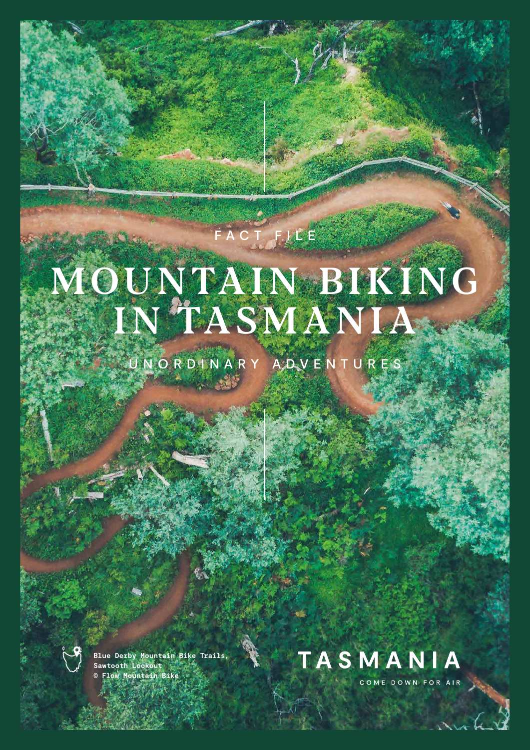# FACT FILE

# MOUNTAIN BIKING IN TASMANIA

UNORDINARY ADVENTURES



**Blue Derby Mountain Bike Trails, Sawtooth Lookout © Flow Mountain Bike**



COME DOWN FOR AIR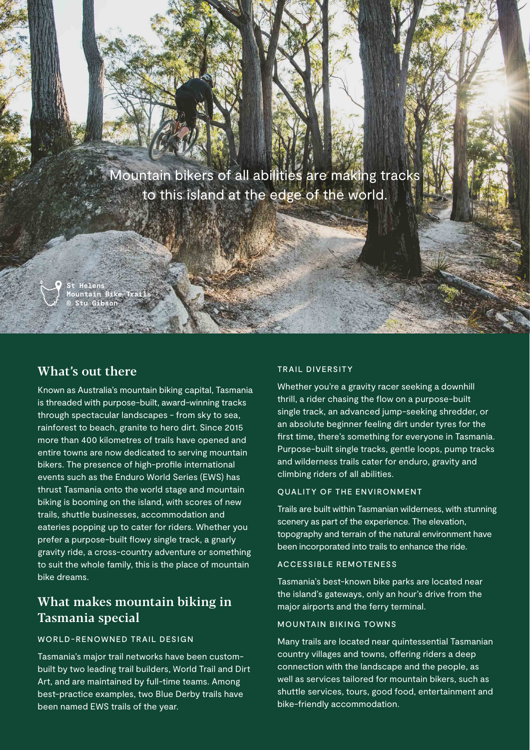Mountain bikers of all abilities are making tracks to this island at the edge of the world.

**St Helens Mountain Bike Trails © Stu Gibson**

### What's out there

Known as Australia's mountain biking capital, Tasmania is threaded with purpose-built, award-winning tracks through spectacular landscapes - from sky to sea, rainforest to beach, granite to hero dirt. Since 2015 more than 400 kilometres of trails have opened and entire towns are now dedicated to serving mountain bikers. The presence of high-profile international events such as the Enduro World Series (EWS) has thrust Tasmania onto the world stage and mountain biking is booming on the island, with scores of new trails, shuttle businesses, accommodation and eateries popping up to cater for riders. Whether you prefer a purpose-built flowy single track, a gnarly gravity ride, a cross-country adventure or something to suit the whole family, this is the place of mountain bike dreams.

# What makes mountain biking in Tasmania special

#### WORLD-RENOWNED TRAIL DESIGN

Tasmania's major trail networks have been custombuilt by two leading trail builders, World Trail and Dirt Art, and are maintained by full-time teams. Among best-practice examples, two Blue Derby trails have been named EWS trails of the year.

#### TRAIL DIVERSITY

Whether you're a gravity racer seeking a downhill thrill, a rider chasing the flow on a purpose-built single track, an advanced jump-seeking shredder, or an absolute beginner feeling dirt under tyres for the first time, there's something for everyone in Tasmania. Purpose-built single tracks, gentle loops, pump tracks and wilderness trails cater for enduro, gravity and climbing riders of all abilities.

#### QUALITY OF THE ENVIRONMENT

Trails are built within Tasmanian wilderness, with stunning scenery as part of the experience. The elevation, topography and terrain of the natural environment have been incorporated into trails to enhance the ride.

#### ACCESSIBLE REMOTENESS

Tasmania's best-known bike parks are located near the island's gateways, only an hour's drive from the major airports and the ferry terminal.

#### MOUNTAIN BIKING TOWNS

Many trails are located near quintessential Tasmanian country villages and towns, offering riders a deep connection with the landscape and the people, as well as services tailored for mountain bikers, such as shuttle services, tours, good food, entertainment and bike-friendly accommodation.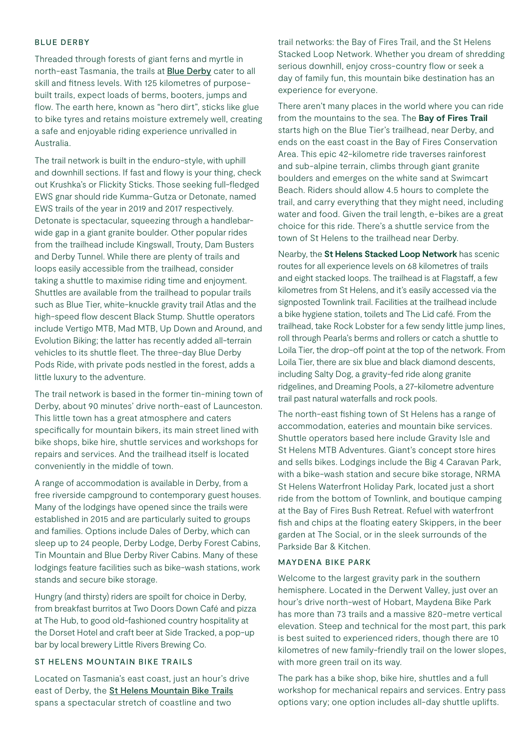#### BLUE DERBY

Threaded through forests of giant ferns and myrtle in north-east Tasmania, the trails at [Blue Derby](https://www.ridebluederby.com.au) cater to all skill and fitness levels. With 125 kilometres of purposebuilt trails, expect loads of berms, booters, jumps and flow. The earth here, known as "hero dirt", sticks like glue to bike tyres and retains moisture extremely well, creating a safe and enjoyable riding experience unrivalled in Australia.

The trail network is built in the enduro-style, with uphill and downhill sections. If fast and flowy is your thing, check out Krushka's or Flickity Sticks. Those seeking full-fledged EWS gnar should ride Kumma-Gutza or Detonate, named EWS trails of the year in 2019 and 2017 respectively. Detonate is spectacular, squeezing through a handlebarwide gap in a giant granite boulder. Other popular rides from the trailhead include Kingswall, Trouty, Dam Busters and Derby Tunnel. While there are plenty of trails and loops easily accessible from the trailhead, consider taking a shuttle to maximise riding time and enjoyment. Shuttles are available from the trailhead to popular trails such as Blue Tier, white-knuckle gravity trail Atlas and the high-speed flow descent Black Stump. Shuttle operators include Vertigo MTB, Mad MTB, Up Down and Around, and Evolution Biking; the latter has recently added all-terrain vehicles to its shuttle fleet. The three-day Blue Derby Pods Ride, with private pods nestled in the forest, adds a little luxury to the adventure.

The trail network is based in the former tin-mining town of Derby, about 90 minutes' drive north-east of Launceston. This little town has a great atmosphere and caters specifically for mountain bikers, its main street lined with bike shops, bike hire, shuttle services and workshops for repairs and services. And the trailhead itself is located conveniently in the middle of town.

A range of accommodation is available in Derby, from a free riverside campground to contemporary guest houses. Many of the lodgings have opened since the trails were established in 2015 and are particularly suited to groups and families. Options include Dales of Derby, which can sleep up to 24 people, Derby Lodge, Derby Forest Cabins, Tin Mountain and Blue Derby River Cabins. Many of these lodgings feature facilities such as bike-wash stations, work stands and secure bike storage.

Hungry (and thirsty) riders are spoilt for choice in Derby, from breakfast burritos at Two Doors Down Café and pizza at The Hub, to good old-fashioned country hospitality at the Dorset Hotel and craft beer at Side Tracked, a pop-up bar by local brewery Little Rivers Brewing Co.

#### ST HELENS MOUNTAIN BIKE TRAILS

Located on Tasmania's east coast, just an hour's drive east of Derby, the **[St Helens Mountain Bike Trails](https://www.sthelensmtbtrails.com.au)** spans a spectacular stretch of coastline and two

trail networks: the Bay of Fires Trail, and the St Helens Stacked Loop Network. Whether you dream of shredding serious downhill, enjoy cross-country flow or seek a day of family fun, this mountain bike destination has an experience for everyone.

There aren't many places in the world where you can ride from the mountains to the sea. The **Bay of Fires Trail** starts high on the Blue Tier's trailhead, near Derby, and ends on the east coast in the Bay of Fires Conservation Area. This epic 42-kilometre ride traverses rainforest and sub-alpine terrain, climbs through giant granite boulders and emerges on the white sand at Swimcart Beach. Riders should allow 4.5 hours to complete the trail, and carry everything that they might need, including water and food. Given the trail length, e-bikes are a great choice for this ride. There's a shuttle service from the town of St Helens to the trailhead near Derby.

Nearby, the **St Helens Stacked Loop Network** has scenic routes for all experience levels on 68 kilometres of trails and eight stacked loops. The trailhead is at Flagstaff, a few kilometres from St Helens, and it's easily accessed via the signposted Townlink trail. Facilities at the trailhead include a bike hygiene station, toilets and The Lid café. From the trailhead, take Rock Lobster for a few sendy little jump lines, roll through Pearla's berms and rollers or catch a shuttle to Loila Tier, the drop-off point at the top of the network. From Loila Tier, there are six blue and black diamond descents, including Salty Dog, a gravity-fed ride along granite ridgelines, and Dreaming Pools, a 27-kilometre adventure trail past natural waterfalls and rock pools.

The north-east fishing town of St Helens has a range of accommodation, eateries and mountain bike services. Shuttle operators based here include Gravity Isle and St Helens MTB Adventures. Giant's concept store hires and sells bikes. Lodgings include the Big 4 Caravan Park, with a bike-wash station and secure bike storage, NRMA St Helens Waterfront Holiday Park, located just a short ride from the bottom of Townlink, and boutique camping at the Bay of Fires Bush Retreat. Refuel with waterfront fish and chips at the floating eatery Skippers, in the beer garden at The Social, or in the sleek surrounds of the Parkside Bar & Kitchen.

#### MAYDENA BIKE PARK

Welcome to the largest gravity park in the southern hemisphere. Located in the Derwent Valley, just over an hour's drive north-west of Hobart, [Maydena Bike Park](https://www.maydenabikepark.com)  has more than 73 trails and a massive 820-metre vertical elevation. Steep and technical for the most part, this park is best suited to experienced riders, though there are 10 kilometres of new family-friendly trail on the lower slopes, with more green trail on its way.

The park has a bike shop, bike hire, shuttles and a full workshop for mechanical repairs and services. Entry pass options vary; one option includes all-day shuttle uplifts.